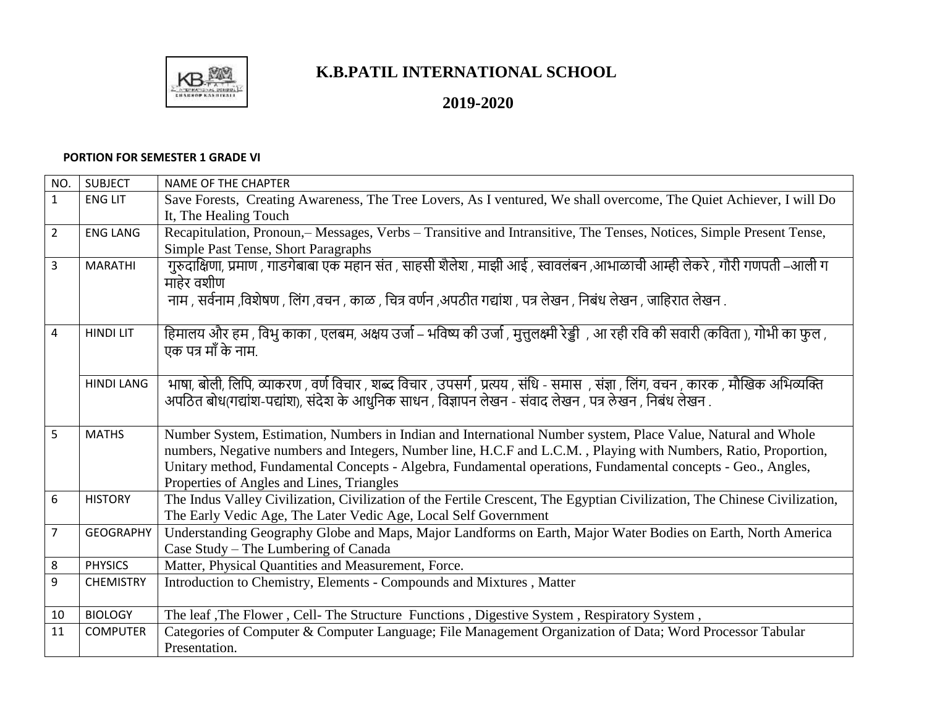

## **K.B.PATIL INTERNATIONAL SCHOOL**

## **2019-2020**

## **PORTION FOR SEMESTER 1 GRADE VI**

| NO.            | <b>SUBJECT</b>    | <b>NAME OF THE CHAPTER</b>                                                                                                           |
|----------------|-------------------|--------------------------------------------------------------------------------------------------------------------------------------|
| $\mathbf{1}$   | <b>ENG LIT</b>    | Save Forests, Creating Awareness, The Tree Lovers, As I ventured, We shall overcome, The Quiet Achiever, I will Do                   |
|                |                   | It, The Healing Touch                                                                                                                |
| $\overline{2}$ | <b>ENG LANG</b>   | Recapitulation, Pronoun, – Messages, Verbs – Transitive and Intransitive, The Tenses, Notices, Simple Present Tense,                 |
|                |                   | Simple Past Tense, Short Paragraphs                                                                                                  |
| $\overline{3}$ | <b>MARATHI</b>    | गुरुदाक्षिणा, प्रमाण , गाडगेबाबा एक महान संत , साहसी शैलेश , माझी आई , स्वावलंबन ,आभाळाची आम्ही लेकरे , गौरी गणपती –आली ग            |
|                |                   | माहेर वशीण                                                                                                                           |
|                |                   | नाम , सर्वनाम ,विशेषण , लिंग ,वचन , काळ , चित्र वर्णन ,अपठीत गद्यांश , पत्र लेखन , निबंध लेखन , जाहिरात लेखन .                       |
|                |                   |                                                                                                                                      |
| $\overline{4}$ | <b>HINDI LIT</b>  | हिमालय और हम , विभु काका , एलबम, अक्षय उर्जा – भविष्य की उर्जा , मुत्तुलक्ष्मी रेड्डी  , आ रही रवि की सवारी (कविता ), गोभी का फुल ,  |
|                |                   | एक पत्र माँ के नाम.                                                                                                                  |
|                |                   |                                                                                                                                      |
|                | <b>HINDI LANG</b> | भाषा, बोली, लिपि, व्याकरण , वर्ण विचार , शब्द विचार , उपसर्ग , प्रत्यय , संधि - समास  , संज्ञा , लिंग, वचन , कारक , मौखिक अभिव्यक्ति |
|                |                   | अपठित बोध(गद्यांश-पद्यांश), संदेश के आधुनिक साधन , विज्ञापन लेखन - संवाद लेखन , पत्र लेखन , निबंध लेखन .                             |
|                |                   |                                                                                                                                      |
| 5              | <b>MATHS</b>      | Number System, Estimation, Numbers in Indian and International Number system, Place Value, Natural and Whole                         |
|                |                   | numbers, Negative numbers and Integers, Number line, H.C.F and L.C.M., Playing with Numbers, Ratio, Proportion,                      |
|                |                   | Unitary method, Fundamental Concepts - Algebra, Fundamental operations, Fundamental concepts - Geo., Angles,                         |
|                |                   | Properties of Angles and Lines, Triangles                                                                                            |
| 6              | <b>HISTORY</b>    | The Indus Valley Civilization, Civilization of the Fertile Crescent, The Egyptian Civilization, The Chinese Civilization,            |
|                |                   | The Early Vedic Age, The Later Vedic Age, Local Self Government                                                                      |
| $\overline{7}$ | <b>GEOGRAPHY</b>  | Understanding Geography Globe and Maps, Major Landforms on Earth, Major Water Bodies on Earth, North America                         |
|                |                   | Case Study – The Lumbering of Canada                                                                                                 |
| 8              | <b>PHYSICS</b>    | Matter, Physical Quantities and Measurement, Force.                                                                                  |
| 9              | <b>CHEMISTRY</b>  | Introduction to Chemistry, Elements - Compounds and Mixtures, Matter                                                                 |
|                |                   |                                                                                                                                      |
| 10             | <b>BIOLOGY</b>    | The leaf , The Flower, Cell- The Structure Functions, Digestive System, Respiratory System,                                          |
| 11             | <b>COMPUTER</b>   | Categories of Computer & Computer Language; File Management Organization of Data; Word Processor Tabular                             |
|                |                   | Presentation.                                                                                                                        |